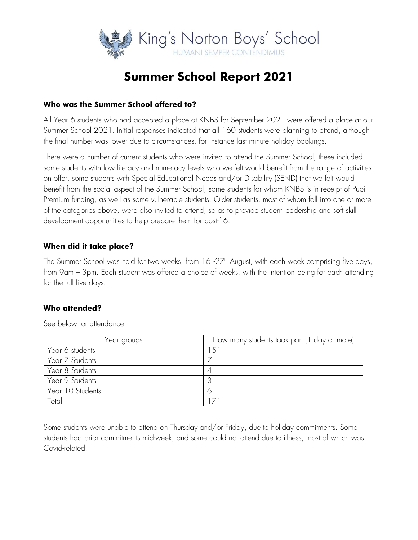

# **Summer School Report 2021**

#### **Who was the Summer School offered to?**

All Year 6 students who had accepted a place at KNBS for September 2021 were offered a place at our Summer School 2021. Initial responses indicated that all 160 students were planning to attend, although the final number was lower due to circumstances, for instance last minute holiday bookings.

There were a number of current students who were invited to attend the Summer School; these included some students with low literacy and numeracy levels who we felt would benefit from the range of activities on offer, some students with Special Educational Needs and/or Disability (SEND) that we felt would benefit from the social aspect of the Summer School, some students for whom KNBS is in receipt of Pupil Premium funding, as well as some vulnerable students. Older students, most of whom fall into one or more of the categories above, were also invited to attend, so as to provide student leadership and soft skill development opportunities to help prepare them for post-16.

## **When did it take place?**

The Summer School was held for two weeks, from 16<sup>th</sup>-27<sup>th</sup> August, with each week comprising five days,  $\,$ from 9am – 3pm. Each student was offered a choice of weeks, with the intention being for each attending for the full five days.

## **Who attended?**

| Year groups      | How many students took part (1 day or more) |
|------------------|---------------------------------------------|
| Year 6 students  | $5^{\circ}$                                 |
| Year 7 Students  |                                             |
| Year 8 Students  |                                             |
| Year 9 Students  |                                             |
| Year 10 Students |                                             |
| Total            |                                             |

See below for attendance:

Some students were unable to attend on Thursday and/or Friday, due to holiday commitments. Some students had prior commitments mid-week, and some could not attend due to illness, most of which was Covid-related.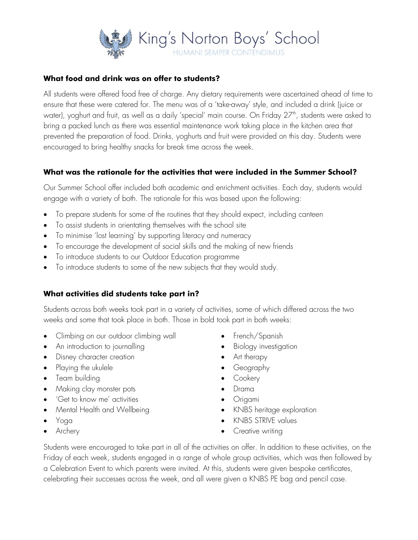

## **What food and drink was on offer to students?**

All students were offered food free of charge. Any dietary requirements were ascertained ahead of time to ensure that these were catered for. The menu was of a 'take-away' style, and included a drink (juice or water), yoghurt and fruit, as well as a daily 'special' main course. On Friday 27th, students were asked to l bring a packed lunch as there was essential maintenance work taking place in the kitchen area that prevented the preparation of food. Drinks, yoghurts and fruit were provided on this day. Students were encouraged to bring healthy snacks for break time across the week.

## **What was the rationale for the activities that were included in the Summer School?**

Our Summer School offer included both academic and enrichment activities. Each day, students would engage with a variety of both. The rationale for this was based upon the following:

- To prepare students for some of the routines that they should expect, including canteen
- To assist students in orientating themselves with the school site
- To minimise 'lost learning' by supporting literacy and numeracy
- To encourage the development of social skills and the making of new friends
- To introduce students to our Outdoor Education programme
- To introduce students to some of the new subjects that they would study.

## **What activities did students take part in?**

Students across both weeks took part in a variety of activities, some of which differed across the two weeks and some that took place in both. Those in bold took part in both weeks:

- Climbing on our outdoor climbing wall
- An introduction to journalling
- Disney character creation
- Playing the ukulele
- Team building
- Making clay monster pots
- 'Get to know me' activities
- Mental Health and Wellbeing
- Yoga
- Archery
- French/Spanish
- Biology investigation
- Art therapy
- Geography
- Cookery
- Drama
- Origami
- KNBS heritage exploration
- KNBS STRIVE values
- Creative writing

Students were encouraged to take part in all of the activities on offer. In addition to these activities, on the Friday of each week, students engaged in a range of whole group activities, which was then followed by a Celebration Event to which parents were invited. At this, students were given bespoke certificates, celebrating their successes across the week, and all were given a KNBS PE bag and pencil case.